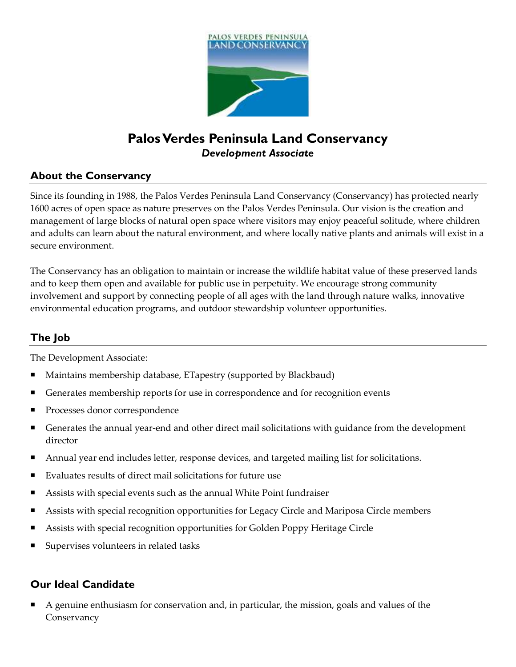

# **Palos Verdes Peninsula Land Conservancy** *Development Associate*

### **About the Conservancy**

Since its founding in 1988, the Palos Verdes Peninsula Land Conservancy (Conservancy) has protected nearly 1600 acres of open space as nature preserves on the Palos Verdes Peninsula. Our vision is the creation and management of large blocks of natural open space where visitors may enjoy peaceful solitude, where children and adults can learn about the natural environment, and where locally native plants and animals will exist in a secure environment.

The Conservancy has an obligation to maintain or increase the wildlife habitat value of these preserved lands and to keep them open and available for public use in perpetuity. We encourage strong community involvement and support by connecting people of all ages with the land through nature walks, innovative environmental education programs, and outdoor stewardship volunteer opportunities.

## **The Job**

The Development Associate:

- Maintains membership database, ETapestry (supported by Blackbaud)
- Generates membership reports for use in correspondence and for recognition events
- Processes donor correspondence
- Generates the annual year-end and other direct mail solicitations with guidance from the development director
- Annual year end includes letter, response devices, and targeted mailing list for solicitations.
- Evaluates results of direct mail solicitations for future use
- Assists with special events such as the annual White Point fundraiser
- Assists with special recognition opportunities for Legacy Circle and Mariposa Circle members
- Assists with special recognition opportunities for Golden Poppy Heritage Circle
- Supervises volunteers in related tasks

#### **Our Ideal Candidate**

 A genuine enthusiasm for conservation and, in particular, the mission, goals and values of the **Conservancy**